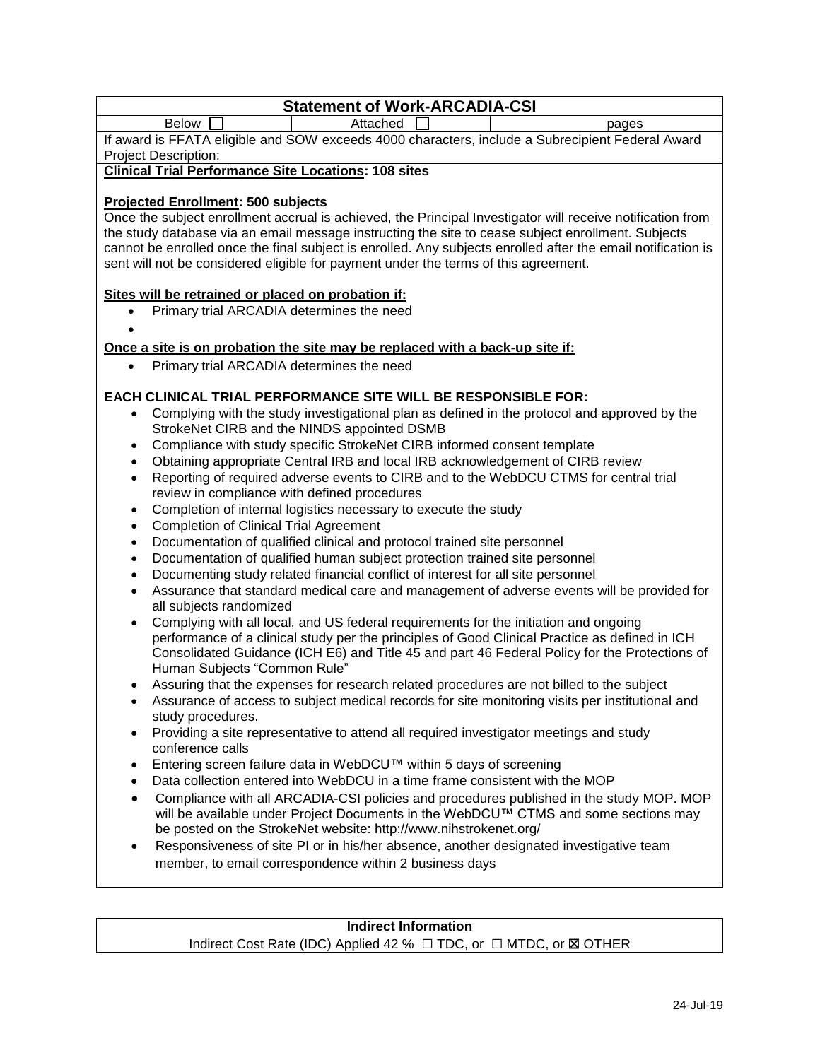# **Statement of Work-ARCADIA-CSI** Below **Below Attached pages** If award is FFATA eligible and SOW exceeds 4000 characters, include a Subrecipient Federal Award Project Description: **Clinical Trial Performance Site Locations: 108 sites Projected Enrollment: 500 subjects** Once the subject enrollment accrual is achieved, the Principal Investigator will receive notification from the study database via an email message instructing the site to cease subject enrollment. Subjects cannot be enrolled once the final subject is enrolled. Any subjects enrolled after the email notification is sent will not be considered eligible for payment under the terms of this agreement. **Sites will be retrained or placed on probation if:**  Primary trial ARCADIA determines the need  $\bullet$ **Once a site is on probation the site may be replaced with a back-up site if:** • Primary trial ARCADIA determines the need **EACH CLINICAL TRIAL PERFORMANCE SITE WILL BE RESPONSIBLE FOR:**  Complying with the study investigational plan as defined in the protocol and approved by the StrokeNet CIRB and the NINDS appointed DSMB Compliance with study specific StrokeNet CIRB informed consent template Obtaining appropriate Central IRB and local IRB acknowledgement of CIRB review Reporting of required adverse events to CIRB and to the WebDCU CTMS for central trial review in compliance with defined procedures • Completion of internal logistics necessary to execute the study Completion of Clinical Trial Agreement Documentation of qualified clinical and protocol trained site personnel Documentation of qualified human subject protection trained site personnel Documenting study related financial conflict of interest for all site personnel Assurance that standard medical care and management of adverse events will be provided for all subjects randomized Complying with all local, and US federal requirements for the initiation and ongoing performance of a clinical study per the principles of Good Clinical Practice as defined in ICH Consolidated Guidance (ICH E6) and Title 45 and part 46 Federal Policy for the Protections of Human Subjects "Common Rule" Assuring that the expenses for research related procedures are not billed to the subject Assurance of access to subject medical records for site monitoring visits per institutional and study procedures. • Providing a site representative to attend all required investigator meetings and study conference calls Entering screen failure data in WebDCU™ within 5 days of screening Data collection entered into WebDCU in a time frame consistent with the MOP Compliance with all ARCADIA-CSI policies and procedures published in the study MOP. MOP will be available under Project Documents in the WebDCU™ CTMS and some sections may be posted on the StrokeNet website: http://www.nihstrokenet.org/ Responsiveness of site PI or in his/her absence, another designated investigative team member, to email correspondence within 2 business days **Indirect Information**

Indirect Cost Rate (IDC) Applied 42 % □ TDC, or □ MTDC, or **⊠ OTHER**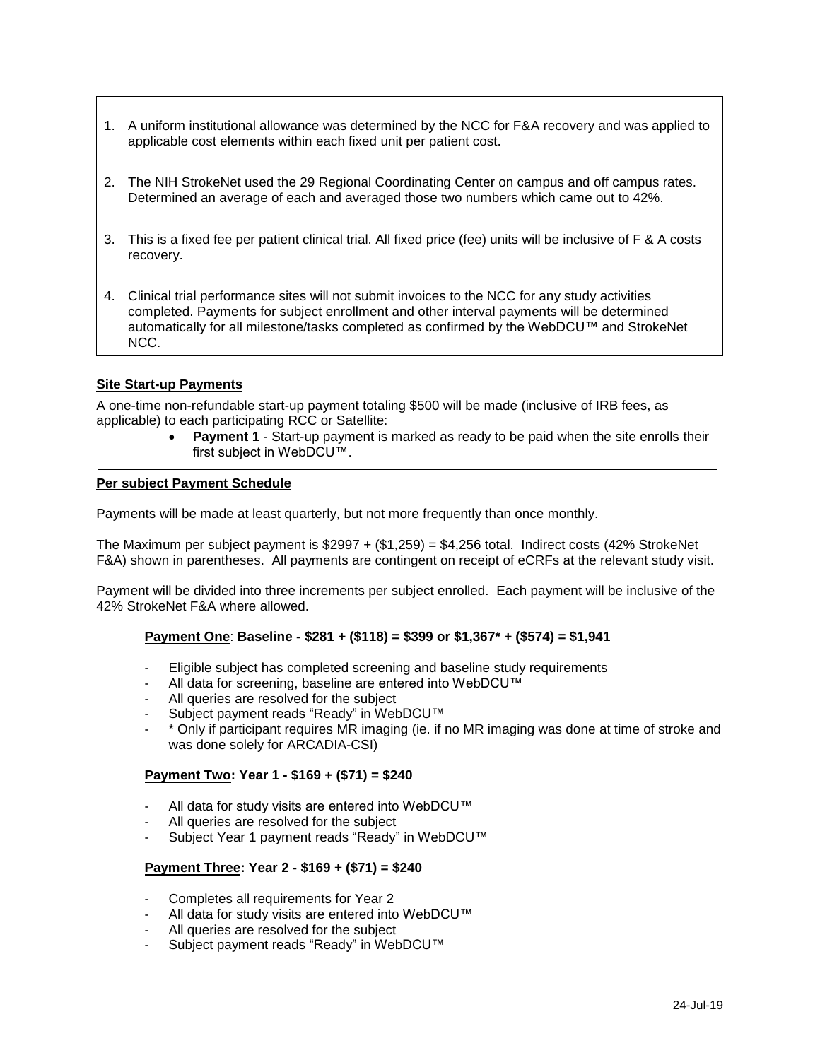- 1. A uniform institutional allowance was determined by the NCC for F&A recovery and was applied to applicable cost elements within each fixed unit per patient cost.
- 2. The NIH StrokeNet used the 29 Regional Coordinating Center on campus and off campus rates. Determined an average of each and averaged those two numbers which came out to 42%.
- 3. This is a fixed fee per patient clinical trial. All fixed price (fee) units will be inclusive of F & A costs recovery.
- 4. Clinical trial performance sites will not submit invoices to the NCC for any study activities completed. Payments for subject enrollment and other interval payments will be determined automatically for all milestone/tasks completed as confirmed by the WebDCU™ and StrokeNet NCC.

### **Site Start-up Payments**

A one-time non-refundable start-up payment totaling \$500 will be made (inclusive of IRB fees, as applicable) to each participating RCC or Satellite:

> **Payment 1** - Start-up payment is marked as ready to be paid when the site enrolls their first subject in WebDCU™.

#### **Per subject Payment Schedule**

Payments will be made at least quarterly, but not more frequently than once monthly.

The Maximum per subject payment is  $$2997 + ($1,259) = $4,256$  total. Indirect costs (42% StrokeNet F&A) shown in parentheses. All payments are contingent on receipt of eCRFs at the relevant study visit.

Payment will be divided into three increments per subject enrolled. Each payment will be inclusive of the 42% StrokeNet F&A where allowed.

### **Payment One**: **Baseline - \$281 + (\$118) = \$399 or \$1,367\* + (\$574) = \$1,941**

- Eligible subject has completed screening and baseline study requirements
- All data for screening, baseline are entered into WebDCU™
- All queries are resolved for the subject
- Subject payment reads "Ready" in WebDCU™
- \* Only if participant requires MR imaging (ie. if no MR imaging was done at time of stroke and was done solely for ARCADIA-CSI)

### **Payment Two: Year 1 - \$169 + (\$71) = \$240**

- All data for study visits are entered into WebDCU™
- All queries are resolved for the subject
- Subject Year 1 payment reads "Ready" in WebDCU™

### **Payment Three: Year 2 - \$169 + (\$71) = \$240**

- Completes all requirements for Year 2
- All data for study visits are entered into WebDCU™
- All queries are resolved for the subject
- Subject payment reads "Ready" in WebDCU™